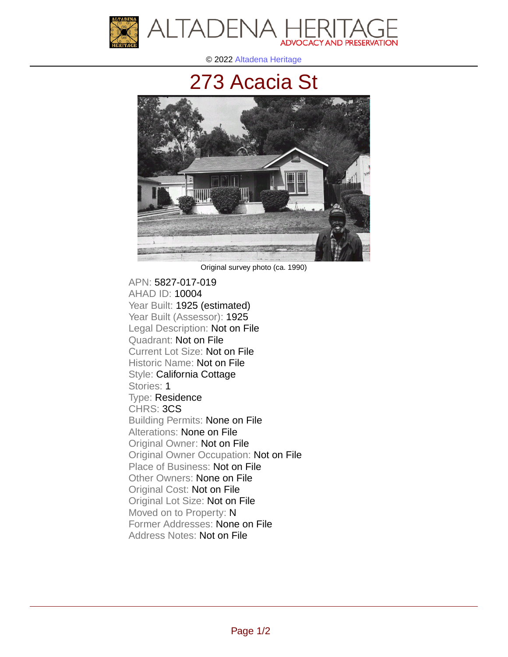

© 2022 [Altadena Heritage](http://altadenaheritage.org/)

## [273 Acacia St](ahad.altadenaheritagepdb.org/properties/10004)



Original survey photo (ca. 1990)

APN: 5827-017-019 [AHAD ID: 10004](ahad.altadenaheritagepdb.org/properties/10004) Year Built: 1925 (estimated) Year Built (Assessor): 1925 Legal Description: Not on File Quadrant: Not on File Current Lot Size: Not on File Historic Name: Not on File Style: California Cottage Stories: 1 Type: Residence CHRS: 3CS Building Permits: None on File Alterations: None on File Original Owner: Not on File Original Owner Occupation: Not on File Place of Business: Not on File Other Owners: None on File Original Cost: Not on File Original Lot Size: Not on File Moved on to Property: N Former Addresses: None on File Address Notes: Not on File